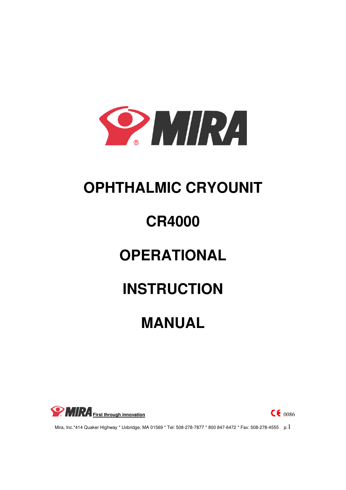

# **OPHTHALMIC CRYOUNIT**

# **CR4000**

# **OPERATIONAL**

# **INSTRUCTION**

# **MANUAL**



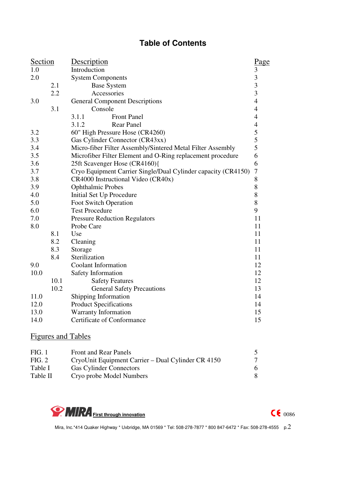# **Table of Contents**

| Section |      | Description                                                   | Page                                               |
|---------|------|---------------------------------------------------------------|----------------------------------------------------|
| 1.0     |      | Introduction                                                  | 3                                                  |
| 2.0     |      | <b>System Components</b>                                      |                                                    |
|         | 2.1  | <b>Base System</b>                                            | $\overline{\mathbf{3}}$<br>$\overline{\mathbf{3}}$ |
|         | 2.2  | Accessories                                                   | $\overline{\mathbf{3}}$                            |
| 3.0     |      | <b>General Component Descriptions</b>                         | $\overline{4}$                                     |
|         | 3.1  | Console                                                       | $\overline{4}$                                     |
|         |      | 3.1.1<br><b>Front Panel</b>                                   | $\overline{4}$                                     |
|         |      | <b>Rear Panel</b><br>3.1.2                                    | $\overline{\mathcal{A}}$                           |
| 3.2     |      | 60" High Pressure Hose (CR4260)                               | 5                                                  |
| 3.3     |      | Gas Cylinder Connector (CR43xx)                               | 5                                                  |
| 3.4     |      | Micro-fiber Filter Assembly/Sintered Metal Filter Assembly    | 5                                                  |
| 3.5     |      | Microfiber Filter Element and O-Ring replacement procedure    | 6                                                  |
| 3.6     |      | 25ft Scavenger Hose (CR4160){                                 | 6                                                  |
| 3.7     |      | Cryo Equipment Carrier Single/Dual Cylinder capacity (CR4150) | $\overline{7}$                                     |
| 3.8     |      | CR4000 Instructional Video (CR40x)                            | $8\,$                                              |
| 3.9     |      | <b>Ophthalmic Probes</b>                                      | $\,$ $\,$                                          |
| 4.0     |      | Initial Set Up Procedure                                      | $\,8\,$                                            |
| 5.0     |      | Foot Switch Operation                                         | $8\,$                                              |
| 6.0     |      | <b>Test Procedure</b>                                         | 9                                                  |
| 7.0     |      | <b>Pressure Reduction Regulators</b>                          | 11                                                 |
| 8.0     |      | Probe Care                                                    | 11                                                 |
|         | 8.1  | Use                                                           | 11                                                 |
|         | 8.2  | Cleaning                                                      | 11                                                 |
|         | 8.3  | Storage                                                       | 11                                                 |
|         | 8.4  | Sterilization                                                 | 11                                                 |
| 9.0     |      | <b>Coolant Information</b>                                    | 12                                                 |
| 10.0    |      | Safety Information                                            | 12                                                 |
|         | 10.1 | <b>Safety Features</b>                                        | 12                                                 |
|         | 10.2 | <b>General Safety Precautions</b>                             | 13                                                 |
| 11.0    |      | Shipping Information                                          | 14                                                 |
| 12.0    |      | <b>Product Specifications</b>                                 | 14                                                 |
| 13.0    |      | Warranty Information                                          | 15                                                 |
| 14.0    |      | Certificate of Conformance                                    | 15                                                 |
|         |      |                                                               |                                                    |

# Figures and Tables

| FIG. 1   | <b>Front and Rear Panels</b>                       |   |
|----------|----------------------------------------------------|---|
| FIG. 2   | CryoUnit Equipment Carrier – Dual Cylinder CR 4150 |   |
| Table I  | <b>Gas Cylinder Connectors</b>                     | 6 |
| Table II | Cryo probe Model Numbers                           |   |

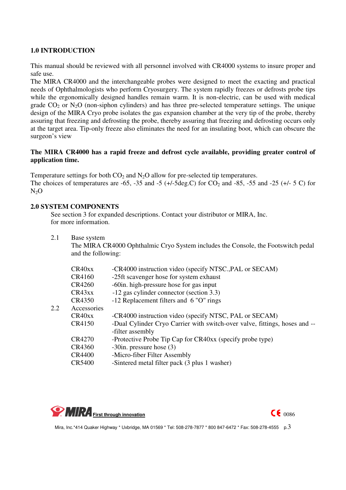#### **1.0 INTRODUCTION**

This manual should be reviewed with all personnel involved with CR4000 systems to insure proper and safe use.

The MIRA CR4000 and the interchangeable probes were designed to meet the exacting and practical needs of Ophthalmologists who perform Cryosurgery. The system rapidly freezes or defrosts probe tips while the ergonomically designed handles remain warm. It is non-electric, can be used with medical grade  $CO_2$  or  $N_2O$  (non-siphon cylinders) and has three pre-selected temperature settings. The unique design of the MIRA Cryo probe isolates the gas expansion chamber at the very tip of the probe, thereby assuring that freezing and defrosting the probe, thereby assuring that freezing and defrosting occurs only at the target area. Tip-only freeze also eliminates the need for an insulating boot, which can obscure the surgeon's view

#### **The MIRA CR4000 has a rapid freeze and defrost cycle available, providing greater control of application time.**

Temperature settings for both  $CO_2$  and  $N_2O$  allow for pre-selected tip temperatures. The choices of temperatures are -65, -35 and -5 (+/-5deg.C) for  $CO_2$  and -85, -55 and -25 (+/- 5 C) for  $N<sub>2</sub>O$ 

#### **2.0 SYSTEM COMPONENTS**

See section 3 for expanded descriptions. Contact your distributor or MIRA, Inc. for more information.

2.1 Base system

The MIRA CR4000 Ophthalmic Cryo System includes the Console, the Footswitch pedal and the following:

|         | CR40xx                          | -CR4000 instruction video (specify NTSC., PAL or SECAM)                    |
|---------|---------------------------------|----------------------------------------------------------------------------|
|         | CR4160                          | -25ft scavenger hose for system exhaust                                    |
|         | CR4260                          | -60 in. high-pressure hose for gas input                                   |
|         | CR43xx                          | -12 gas cylinder connector (section 3.3)                                   |
|         | CR4350                          | -12 Replacement filters and 6 "O" rings                                    |
| $2.2\,$ | Accessories                     |                                                                            |
|         | CR <sub>40</sub> x <sub>x</sub> | -CR4000 instruction video (specify NTSC, PAL or SECAM)                     |
|         | CR4150                          | -Dual Cylinder Cryo Carrier with switch-over valve, fittings, hoses and -- |
|         |                                 | -filter assembly                                                           |
|         | CR4270                          | -Protective Probe Tip Cap for CR40xx (specify probe type)                  |
|         | CR4360                          | $-30$ in. pressure hose (3)                                                |
|         | <b>CR4400</b>                   | -Micro-fiber Filter Assembly                                               |
|         | <b>CR5400</b>                   | -Sintered metal filter pack (3 plus 1 washer)                              |

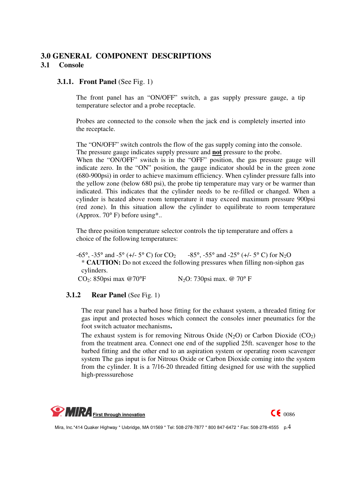# **3.0 GENERAL COMPONENT DESCRIPTIONS 3.1 Console**

#### **3.1.1. Front Panel (See Fig. 1)**

The front panel has an "ON/OFF" switch, a gas supply pressure gauge, a tip temperature selector and a probe receptacle.

Probes are connected to the console when the jack end is completely inserted into the receptacle.

The "ON/OFF" switch controls the flow of the gas supply coming into the console. The pressure gauge indicates supply pressure and **not** pressure to the probe.

When the "ON/OFF" switch is in the "OFF" position, the gas pressure gauge will indicate zero. In the "ON" position, the gauge indicator should be in the green zone (680-900psi) in order to achieve maximum efficiency. When cylinder pressure falls into the yellow zone (below 680 psi), the probe tip temperature may vary or be warmer than indicated. This indicates that the cylinder needs to be re-filled or changed. When a cylinder is heated above room temperature it may exceed maximum pressure 900psi (red zone). In this situation allow the cylinder to equilibrate to room temperature (Approx. 70° F) before using\*..

 The three position temperature selector controls the tip temperature and offers a choice of the following temperatures:

 $-65^\circ$ ,  $-35^\circ$  and  $-5^\circ$  (+/ $-5^\circ$  C) for CO<sub>2</sub>  $-85^\circ$ ,  $-55^\circ$  and  $-25^\circ$  (+/ $-5^\circ$  C) for N<sub>2</sub>O \* **CAUTION:** Do not exceed the following pressures when filling non-siphon gas cylinders. CO<sub>2</sub>: 850psi max @70°F  $N_2O$ : 730psi max. @ 70°F

#### **3.1.2 Rear Panel** (See Fig. 1)

The rear panel has a barbed hose fitting for the exhaust system, a threaded fitting for gas input and protected hoses which connect the consoles inner pneumatics for the foot switch actuator mechanisms**.** 

The exhaust system is for removing Nitrous Oxide  $(N_2O)$  or Carbon Dioxide  $(CO_2)$ from the treatment area. Connect one end of the supplied 25ft. scavenger hose to the barbed fitting and the other end to an aspiration system or operating room scavenger system The gas input is for Nitrous Oxide or Carbon Dioxide coming into the system from the cylinder. It is a 7/16-20 threaded fitting designed for use with the supplied high-presssurehose



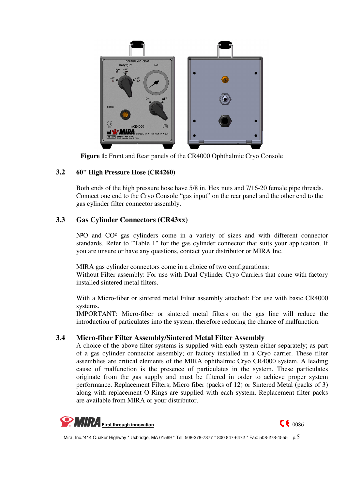

**Figure 1:** Front and Rear panels of the CR4000 Ophthalmic Cryo Console

#### **3.2 60" High Pressure Hose (CR4260)**

Both ends of the high pressure hose have 5/8 in. Hex nuts and 7/16-20 female pipe threads. Connect one end to the Cryo Console "gas input" on the rear panel and the other end to the gas cylinder filter connector assembly.

### **3.3 Gas Cylinder Connectors (CR43xx)**

N<sup>2</sup>O and CO<sup>2</sup> gas cylinders come in a variety of sizes and with different connector standards. Refer to "Table 1" for the gas cylinder connector that suits your application. If you are unsure or have any questions, contact your distributor or MIRA Inc.

MIRA gas cylinder connectors come in a choice of two configurations: Without Filter assembly: For use with Dual Cylinder Cryo Carriers that come with factory installed sintered metal filters.

With a Micro-fiber or sintered metal Filter assembly attached: For use with basic CR4000 systems.

IMPORTANT: Micro-fiber or sintered metal filters on the gas line will reduce the introduction of particulates into the system, therefore reducing the chance of malfunction.

#### **3.4 Micro-fiber Filter Assembly/Sintered Metal Filter Assembly**

A choice of the above filter systems is supplied with each system either separately; as part of a gas cylinder connector assembly; or factory installed in a Cryo carrier. These filter assemblies are critical elements of the MIRA ophthalmic Cryo CR4000 system. A leading cause of malfunction is the presence of particulates in the system. These particulates originate from the gas supply and must be filtered in order to achieve proper system performance. Replacement Filters; Micro fiber (packs of 12) or Sintered Metal (packs of 3) along with replacement O-Rings are supplied with each system. Replacement filter packs are available from MIRA or your distributor.



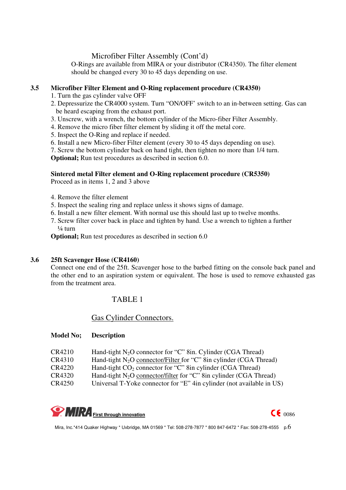### Microfiber Filter Assembly (Cont'd)

O-Rings are available from MIRA or your distributor (CR4350). The filter element should be changed every 30 to 45 days depending on use.

#### **3.5 Microfiber Filter Element and O-Ring replacement procedure (CR4350)**

- 1. Turn the gas cylinder valve OFF
- 2. Depressurize the CR4000 system. Turn "ON/OFF' switch to an in-between setting. Gas can be heard escaping from the exhaust port.
- 3. Unscrew, with a wrench, the bottom cylinder of the Micro-fiber Filter Assembly.
- 4. Remove the micro fiber filter element by sliding it off the metal core.
- 5. Inspect the O-Ring and replace if needed.
- 6. Install a new Micro-fiber Filter element (every 30 to 45 days depending on use).
- 7. Screw the bottom cylinder back on hand tight, then tighten no more than 1/4 turn.

**Optional;** Run test procedures as described in section 6.0.

# **Sintered metal Filter element and O-Ring replacement procedure (CR5350)**

Proceed as in items 1, 2 and 3 above

- 4. Remove the filter element
- 5. Inspect the sealing ring and replace unless it shows signs of damage.
- 6. Install a new filter element. With normal use this should last up to twelve months.
- 7. Screw filter cover back in place and tighten by hand. Use a wrench to tighten a further  $\frac{1}{4}$  turn

**Optional;** Run test procedures as described in section 6.0

#### **3.6 25ft Scavenger Hose (CR4160)**

Connect one end of the 25ft. Scavenger hose to the barbed fitting on the console back panel and the other end to an aspiration system or equivalent. The hose is used to remove exhausted gas from the treatment area.

## TABLE 1

#### Gas Cylinder Connectors.

#### **Model No; Description**

| CR4210                                                                                                                                           |  |
|--------------------------------------------------------------------------------------------------------------------------------------------------|--|
| Hand-tight $N_2O$ connector for "C" 8in. Cylinder (CGA Thread)<br>Hand-tight $N_2O$ connector/Filter for "C" 8in cylinder (CGA Thread)<br>CR4310 |  |
| <b>CR4220</b><br>Hand-tight $CO_2$ connector for "C" 8in cylinder (CGA Thread)                                                                   |  |
| CR4320<br>Hand-tight $N_2O$ connector/filter for "C" 8in cylinder (CGA Thread)                                                                   |  |
| CR4250<br>Universal T-Yoke connector for "E" 4in cylinder (not available in US)                                                                  |  |



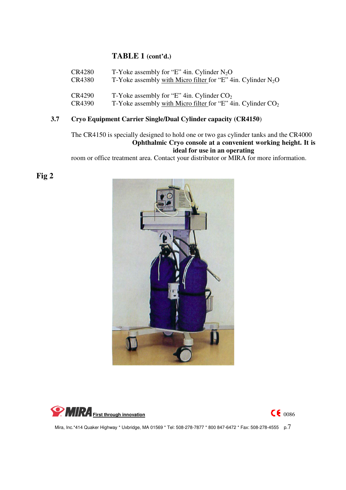# **TABLE 1 (cont'd.)**

| <b>CR4280</b> | T-Yoke assembly for "E" 4in. Cylinder $N_2O$                   |
|---------------|----------------------------------------------------------------|
| <b>CR4380</b> | T-Yoke assembly with Micro filter for "E" 4in. Cylinder $N_2O$ |
| CR4290        | T-Yoke assembly for "E" 4in. Cylinder $CO2$                    |
| CR4390        | T-Yoke assembly with Micro filter for "E" 4in. Cylinder $CO2$  |

# **3.7 Cryo Equipment Carrier Single/Dual Cylinder capacity (CR4150**)

The CR4150 is specially designed to hold one or two gas cylinder tanks and the CR4000 **Ophthalmic Cryo console at a convenient working height. It is ideal for use in an operating** 

room or office treatment area. Contact your distributor or MIRA for more information.

 **Fig 2**





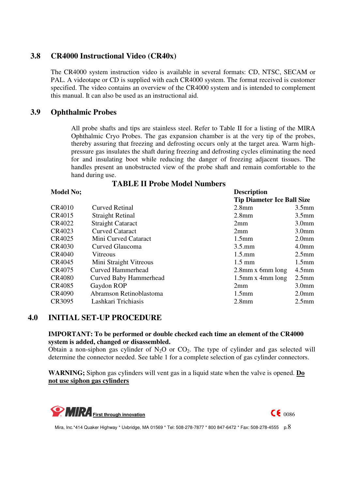# **3.8 CR4000 Instructional Video (CR40x)**

The CR4000 system instruction video is available in several formats: CD, NTSC, SECAM or PAL. A videotape or CD is supplied with each CR4000 system. The format received is customer specified. The video contains an overview of the CR4000 system and is intended to complement this manual. It can also be used as an instructional aid.

# **3.9 Ophthalmic Probes**

All probe shafts and tips are stainless steel. Refer to Table II for a listing of the MIRA Ophthalmic Cryo Probes. The gas expansion chamber is at the very tip of the probes, thereby assuring that freezing and defrosting occurs only at the target area. Warm highpressure gas insulates the shaft during freezing and defrosting cycles eliminating the need for and insulating boot while reducing the danger of freezing adjacent tissues. The handles present an unobstructed view of the probe shaft and remain comfortable to the hand during use.

#### **TABLE II Probe Model Numbers**

#### **Model No:** Description

|               |                               | <b>Tip Diameter Ice Ball Size</b> |                   |
|---------------|-------------------------------|-----------------------------------|-------------------|
| <b>CR4010</b> | <b>Curved Retinal</b>         | 2.8 <sub>mm</sub>                 | 3.5 <sub>mm</sub> |
| CR4015        | <b>Straight Retinal</b>       | $2.8$ mm                          | 3.5 <sub>mm</sub> |
| CR4022        | <b>Straight Cataract</b>      | 2mm                               | 3.0 <sub>mm</sub> |
| CR4023        | <b>Curved Cataract</b>        | 2mm                               | 3.0 <sub>mm</sub> |
| CR4025        | Mini Curved Cataract          | 1.5 <sub>mm</sub>                 | 2.0 <sub>mm</sub> |
| <b>CR4030</b> | Curved Glaucoma               | $3.5$ .mm                         | 4.0 <sub>mm</sub> |
| <b>CR4040</b> | Vitreous                      | $1.5 \text{mm}$                   | $2.5$ mm          |
| CR4045        | Mini Straight Vitreous        | $1.5 \text{ mm}$                  | 1.5 <sub>mm</sub> |
| CR4075        | <b>Curved Hammerhead</b>      | $2.8$ mm x 6mm long               | $4.5$ mm          |
| <b>CR4080</b> | <b>Curved Baby Hammerhead</b> | $1.5$ mm x 4mm long               | $2.5$ mm          |
| <b>CR4085</b> | Gaydon ROP                    | 2mm                               | 3.0 <sub>mm</sub> |
| <b>CR4090</b> | Abramson Retinoblastoma       | 1.5 <sub>mm</sub>                 | 2.0 <sub>mm</sub> |
| CR3095        | Lashkari Trichiasis           | 2.8 <sub>mm</sub>                 | $2.5$ mm          |

#### **4.0 INITIAL SET-UP PROCEDURE**

#### **IMPORTANT: To be performed or double checked each time an element of the CR4000 system is added, changed or disassembled.**

Obtain a non-siphon gas cylinder of  $N_2O$  or  $CO_2$ . The type of cylinder and gas selected will determine the connector needed. See table 1 for a complete selection of gas cylinder connectors.

**WARNING;** Siphon gas cylinders will vent gas in a liquid state when the valve is opened. **Do not use siphon gas cylinders**

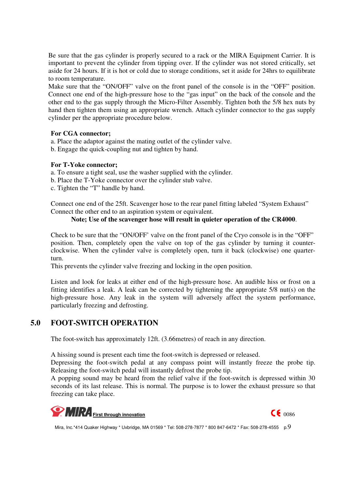Be sure that the gas cylinder is properly secured to a rack or the MIRA Equipment Carrier. It is important to prevent the cylinder from tipping over. If the cylinder was not stored critically, set aside for 24 hours. If it is hot or cold due to storage conditions, set it aside for 24hrs to equilibrate to room temperature.

Make sure that the "ON/OFF" valve on the front panel of the console is in the "OFF" position. Connect one end of the high-pressure hose to the "gas input" on the back of the console and the other end to the gas supply through the Micro-Filter Assembly. Tighten both the 5/8 hex nuts by hand then tighten them using an appropriate wrench. Attach cylinder connector to the gas supply cylinder per the appropriate procedure below.

#### **For CGA connector;**

a. Place the adaptor against the mating outlet of the cylinder valve.

b. Engage the quick-coupling nut and tighten by hand.

#### **For T-Yoke connector;**

a. To ensure a tight seal, use the washer supplied with the cylinder.

- b. Place the T-Yoke connector over the cylinder stub valve.
- c. Tighten the "T" handle by hand.

Connect one end of the 25ft. Scavenger hose to the rear panel fitting labeled "System Exhaust" Connect the other end to an aspiration system or equivalent.

#### **Note; Use of the scavenger hose will result in quieter operation of the CR4000**.

Check to be sure that the "ON/OFF' valve on the front panel of the Cryo console is in the "OFF" position. Then, completely open the valve on top of the gas cylinder by turning it counterclockwise. When the cylinder valve is completely open, turn it back (clockwise) one quarterturn.

This prevents the cylinder valve freezing and locking in the open position.

Listen and look for leaks at either end of the high-pressure hose. An audible hiss or frost on a fitting identifies a leak. A leak can be corrected by tightening the appropriate 5/8 nut(s) on the high-pressure hose. Any leak in the system will adversely affect the system performance, particularly freezing and defrosting.

# **5.0 FOOT-SWITCH OPERATION**

The foot-switch has approximately 12ft. (3.66metres) of reach in any direction.

A hissing sound is present each time the foot-switch is depressed or released.

Depressing the foot-switch pedal at any compass point will instantly freeze the probe tip. Releasing the foot-switch pedal will instantly defrost the probe tip.

A popping sound may be heard from the relief valve if the foot-switch is depressed within 30 seconds of its last release. This is normal. The purpose is to lower the exhaust pressure so that freezing can take place.

**CE** 0086

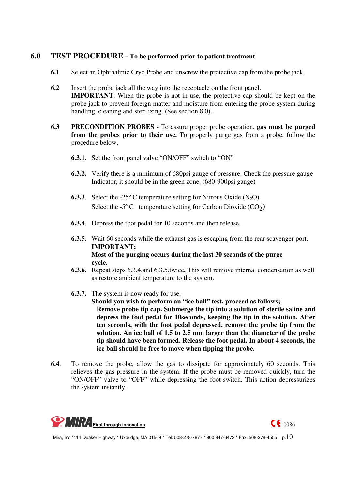### **6.0 TEST PROCEDURE** - **To be performed prior to patient treatment**

- **6.1** Select an Ophthalmic Cryo Probe and unscrew the protective cap from the probe jack.
- **6.2** Insert the probe jack all the way into the receptacle on the front panel. **IMPORTANT**: When the probe is not in use, the protective cap should be kept on the probe jack to prevent foreign matter and moisture from entering the probe system during handling, cleaning and sterilizing. (See section 8.0).
- **6.3 PRECONDITION PROBES**  To assure proper probe operation, **gas must be purged from the probes prior to their use.** To properly purge gas from a probe, follow the procedure below,
	- **6.3.1**. Set the front panel valve "ON/OFF" switch to "ON"
	- **6.3.2.** Verify there is a minimum of 680psi gauge of pressure. Check the pressure gauge Indicator, it should be in the green zone. (680-900psi gauge)
	- **6.3.3**. Select the -25 $^{\circ}$  C temperature setting for Nitrous Oxide (N<sub>2</sub>O) Select the -5 $^{\circ}$  C temperature setting for Carbon Dioxide (CO<sub>2</sub>)
	- **6.3.4**. Depress the foot pedal for 10 seconds and then release.
	- **6.3.5**. Wait 60 seconds while the exhaust gas is escaping from the rear scavenger port. **IMPORTANT; Most of the purging occurs during the last 30 seconds of the purge cycle.**
	- **6.3.6.** Repeat steps 6.3.4.and 6.3.5.twice**.** This will remove internal condensation as well as restore ambient temperature to the system.
	- **6.3.7.** The system is now ready for use.  **Should you wish to perform an "ice ball" test, proceed as follows; Remove probe tip cap. Submerge the tip into a solution of sterile saline and depress the foot pedal for 10seconds, keeping the tip in the solution. After ten seconds, with the foot pedal depressed, remove the probe tip from the solution. An ice ball of 1.5 to 2.5 mm larger than the diameter of the probe tip should have been formed. Release the foot pedal. In about 4 seconds, the ice ball should be free to move when tipping the probe.**
- **6.4**. To remove the probe, allow the gas to dissipate for approximately 60 seconds. This relieves the gas pressure in the system. If the probe must be removed quickly, turn the "ON/OFF" valve to "OFF" while depressing the foot-switch. This action depressurizes the system instantly.

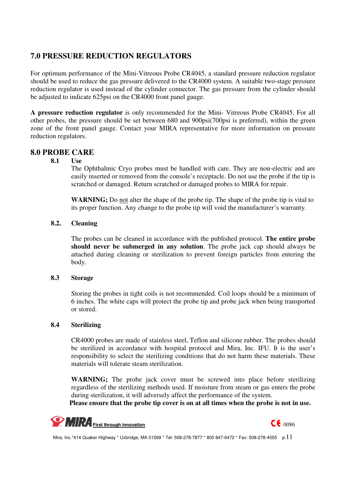# **7.0 PRESSURE REDUCTION REGULATORS**

For optimum performance of the Mini-Vitreous Probe CR4045, a standard pressure reduction regulator should be used to reduce the gas pressure delivered to the CR4000 system. A suitable two-stage pressure reduction regulator is used instead of the cylinder connector. The gas pressure from the cylinder should be adjusted to indicate 625psi on the CR4000 front panel gauge.

**A pressure reduction regulator** is only recommended for the Mini- Vitreous Probe CR4045. For all other probes, the pressure should be set between 680 and 900psi(700psi is preferred), within the green zone of the front panel gauge. Contact your MIRA representative for more information on pressure reduction regulators.

# **8.0 PROBE CARE**

**8.1 Use**

The Ophthalmic Cryo probes must be handled with care. They are non-electric and are easily inserted or removed from the console's receptacle. Do not use the probe if the tip is scratched or damaged. Return scratched or damaged probes to MIRA for repair.

**WARNING;** Do not alter the shape of the probe tip. The shape of the probe tip is vital to its proper function. Any change to the probe tip will void the manufacturer's warranty.

#### **8.2. Cleaning**

The probes can be cleaned in accordance with the published protocol. **The entire probe should never be submerged in any solution**. The probe jack cap should always be attached during cleaning or sterilization to prevent foreign particles from entering the body.

#### **8.3 Storage**

Storing the probes in tight coils is not recommended. Coil loops should be a minimum of 6 inches. The white caps will protect the probe tip and probe jack when being transported or stored.

#### **8.4 Sterilizing**

CR4000 probes are made of stainless steel, Teflon and silicone rubber. The probes should be sterilized in accordance with hospital protocol and Mira, Inc. IFU. It is the user's responsibility to select the sterilizing conditions that do not harm these materials. These materials will tolerate steam sterilization.

WARNING; The probe jack cover must be screwed into place before sterilizing regardless of the sterilizing methods used. If moisture from steam or gas enters the probe during sterilization, it will adversely affect the performance of the system.

**Please ensure that the probe tip cover is on at all times when the probe is not in use.**



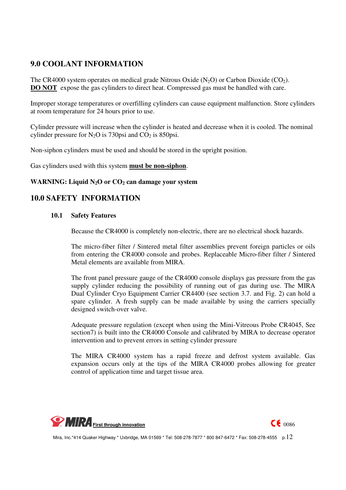# **9.0 COOLANT INFORMATION**

The CR4000 system operates on medical grade Nitrous Oxide  $(N_2O)$  or Carbon Dioxide (CO<sub>2</sub>). **DO NOT** expose the gas cylinders to direct heat. Compressed gas must be handled with care.

Improper storage temperatures or overfilling cylinders can cause equipment malfunction. Store cylinders at room temperature for 24 hours prior to use.

Cylinder pressure will increase when the cylinder is heated and decrease when it is cooled. The nominal cylinder pressure for  $N_2O$  is 730psi and  $CO_2$  is 850psi.

Non-siphon cylinders must be used and should be stored in the upright position.

Gas cylinders used with this system **must be non-siphon**.

#### WARNING: Liquid N<sub>2</sub>O or CO<sub>2</sub> can damage your system

### **10.0 SAFETY INFORMATION**

#### **10.1 Safety Features**

Because the CR4000 is completely non-electric, there are no electrical shock hazards.

The micro-fiber filter / Sintered metal filter assemblies prevent foreign particles or oils from entering the CR4000 console and probes. Replaceable Micro-fiber filter / Sintered Metal elements are available from MIRA.

The front panel pressure gauge of the CR4000 console displays gas pressure from the gas supply cylinder reducing the possibility of running out of gas during use. The MIRA Dual Cylinder Cryo Equipment Carrier CR4400 (see section 3.7. and Fig. 2) can hold a spare cylinder. A fresh supply can be made available by using the carriers specially designed switch-over valve.

Adequate pressure regulation (except when using the Mini-Vitreous Probe CR4045, See section7) is built into the CR4000 Console and calibrated by MIRA to decrease operator intervention and to prevent errors in setting cylinder pressure

The MIRA CR4000 system has a rapid freeze and defrost system available. Gas expansion occurs only at the tips of the MIRA CR4000 probes allowing for greater control of application time and target tissue area.

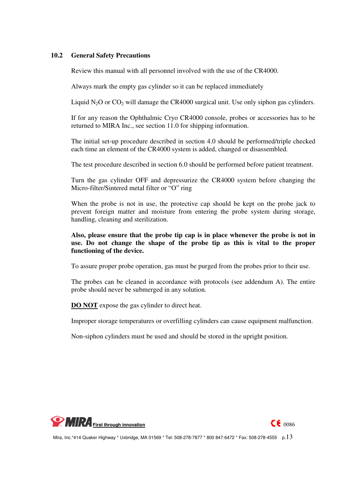#### **10.2 General Safety Precautions**

Review this manual with all personnel involved with the use of the CR4000.

Always mark the empty gas cylinder so it can be replaced immediately

Liquid  $N_2O$  or  $CO_2$  will damage the CR4000 surgical unit. Use only siphon gas cylinders.

If for any reason the Ophthalmic Cryo CR4000 console, probes or accessories has to be returned to MIRA Inc., see section 11.0 for shipping information.

The initial set-up procedure described in section 4.0 should be performed/triple checked each time an element of the CR4000 system is added, changed or disassembled.

The test procedure described in section 6.0 should be performed before patient treatment.

Turn the gas cylinder OFF and depressurize the CR4000 system before changing the Micro-filter/Sintered metal filter or "O" ring

When the probe is not in use, the protective cap should be kept on the probe jack to prevent foreign matter and moisture from entering the probe system during storage, handling, cleaning and sterilization.

#### **Also, please ensure that the probe tip cap is in place whenever the probe is not in use. Do not change the shape of the probe tip as this is vital to the proper functioning of the device.**

To assure proper probe operation, gas must be purged from the probes prior to their use.

The probes can be cleaned in accordance with protocols (see addendum A). The entire probe should never be submerged in any solution.

**DO NOT** expose the gas cylinder to direct heat.

Improper storage temperatures or overfilling cylinders can cause equipment malfunction.

Non-siphon cylinders must be used and should be stored in the upright position.

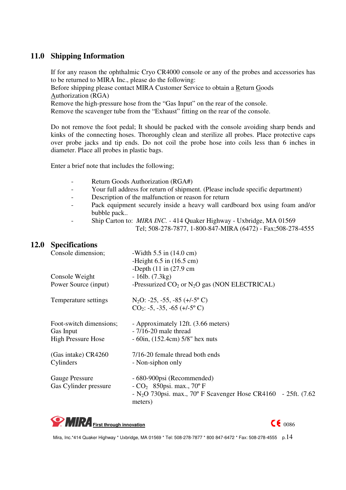# **11.0 Shipping Information**

If for any reason the ophthalmic Cryo CR4000 console or any of the probes and accessories has to be returned to MIRA Inc., please do the following: Before shipping please contact MIRA Customer Service to obtain a Return Goods Authorization (RGA) Remove the high-pressure hose from the "Gas Input" on the rear of the console. Remove the scavenger tube from the "Exhaust" fitting on the rear of the console.

Do not remove the foot pedal; It should be packed with the console avoiding sharp bends and kinks of the connecting hoses. Thoroughly clean and sterilize all probes. Place protective caps over probe jacks and tip ends. Do not coil the probe hose into coils less than 6 inches in diameter. Place all probes in plastic bags.

Enter a brief note that includes the following;

- Return Goods Authorization (RGA#)
- Your full address for return of shipment. (Please include specific department)
- Description of the malfunction or reason for return
- Pack equipment securely inside a heavy wall cardboard box using foam and/or bubble pack..
- Ship Carton to: *MIRA INC.* 414 Quaker Highway Uxbridge, MA 01569 Tel; 508-278-7877, 1-800-847-MIRA (6472) - Fax;508-278-4555

# **12.0 Specifications**

| Console dimension;        | -Width $5.5$ in $(14.0 \text{ cm})$                                                      |
|---------------------------|------------------------------------------------------------------------------------------|
|                           | -Height $6.5$ in $(16.5 \text{ cm})$                                                     |
|                           | -Depth $(11 \text{ in } (27.9 \text{ cm})$                                               |
| Console Weight            | $-16lb. (7.3kg)$                                                                         |
| Power Source (input)      | -Pressurized $CO_2$ or $N_2O$ gas (NON ELECTRICAL)                                       |
| Temperature settings      | $N_2O: -25, -55, -85 (+/-5)$ °C)                                                         |
|                           | $CO_2$ : -5, -35, -65 (+/-5° C)                                                          |
| Foot-switch dimensions;   | - Approximately 12ft. (3.66 meters)                                                      |
| Gas Input                 | $-7/16-20$ male thread                                                                   |
| <b>High Pressure Hose</b> | $-60$ in, $(152.4cm)$ 5/8" hex nuts                                                      |
| (Gas intake) CR4260       | 7/16-20 female thread both ends                                                          |
| Cylinders                 | - Non-siphon only                                                                        |
| <b>Gauge Pressure</b>     | - 680-900psi (Recommended)                                                               |
| Gas Cylinder pressure     | - $CO_2$ 850psi. max., 70° F                                                             |
|                           | - N <sub>2</sub> O 730psi. max., 70° F Scavenger Hose CR4160 - 25ft. $(7.62)$<br>meters) |
|                           |                                                                                          |